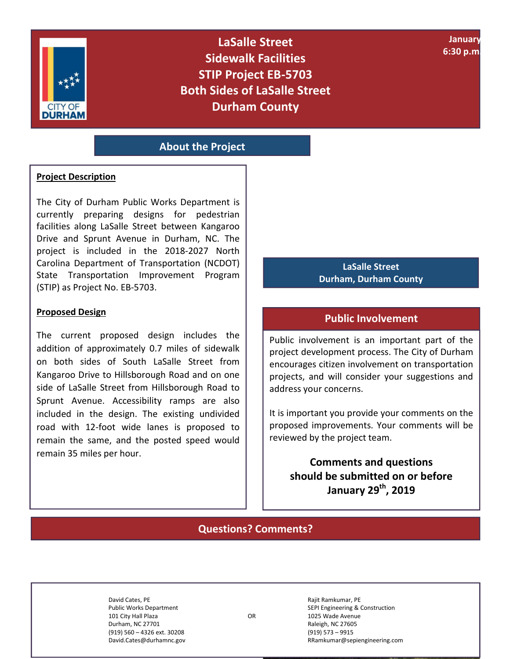

Į

**LaSalle Street Sidewalk Facilities STIP Project EB-5703 Both Sides of LaSalle Street Durham County** 

**January 6:30 p.m. – 8:30**

### **About the Project**

#### **Project Description**

The City of Durham Public Works Department is currently preparing designs for pedestrian facilities along LaSalle Street between Kangaroo Drive and Sprunt Avenue in Durham, NC. The project is included in the 2018‐2027 North Carolina Department of Transportation (NCDOT) State Transportation Improvement Program (STIP) as Project No. EB‐5703.

#### **Proposed Design**

The current proposed design includes the addition of approximately 0.7 miles of sidewalk on both sides of South LaSalle Street from Kangaroo Drive to Hillsborough Road and on one side of LaSalle Street from Hillsborough Road to Sprunt Avenue. Accessibility ramps are also included in the design. The existing undivided road with 12‐foot wide lanes is proposed to remain the same, and the posted speed would remain 35 miles per hour.

#### **LaSalle Street Durham, Durham County**

#### **Public Involvement**

Public involvement is an important part of the project development process. The City of Durham encourages citizen involvement on transportation projects, and will consider your suggestions and address your concerns.

It is important you provide your comments on the proposed improvements. Your comments will be reviewed by the project team.

**Comments and questions should be submitted on or before January 29th, 2019** 

## **Questions? Comments?**

101 City Hall Plaza **Calculation Concernsive Concernsive Concernsive Concernsive Concernsive Concernsive Concernsive Concernsive Concernsive Concernsive Concernsive Concernsive Concernsive Concernsive Concernsive Concernsi** Durham, NC 27701 **Raleigh, NC 27605** Raleigh, NC 27605 (919) 560 – 4326 ext. 30208 (919) 573 – 9915 David.Cates@durhamnc.gov RRamkumar@sepiengineering.com

David Cates, PE **Rajit Ramkumar, PE** Rajit Ramkumar, PE Public Works Department **SEPI Engineering & Construction** SEPI Engineering & Construction